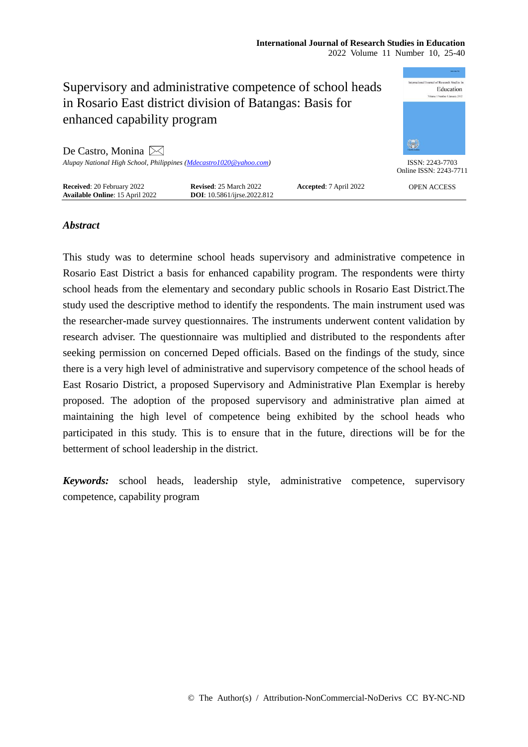|                                                                                                                       |                                                                     |                        | Anna Cast Pho                               |
|-----------------------------------------------------------------------------------------------------------------------|---------------------------------------------------------------------|------------------------|---------------------------------------------|
| Supervisory and administrative competence of school heads<br>in Rosario East district division of Batangas: Basis for |                                                                     |                        | Education<br>Volume 1 Number 1 January 2012 |
| enhanced capability program                                                                                           |                                                                     |                        |                                             |
| De Castro, Monina $\bowtie$                                                                                           |                                                                     |                        | 徽                                           |
| Alupay National High School, Philippines (Mdecastro1020@yahoo.com)                                                    |                                                                     |                        | ISSN: 2243-7703<br>Online ISSN: 2243-7711   |
| <b>Received: 20 February 2022</b><br><b>Available Online: 15 April 2022</b>                                           | <b>Revised: 25 March 2022</b><br><b>DOI:</b> 10.5861/ijrse.2022.812 | Accepted: 7 April 2022 | <b>OPEN ACCESS</b>                          |

# *Abstract*

This study was to determine school heads supervisory and administrative competence in Rosario East District a basis for enhanced capability program. The respondents were thirty school heads from the elementary and secondary public schools in Rosario East District.The study used the descriptive method to identify the respondents. The main instrument used was the researcher-made survey questionnaires. The instruments underwent content validation by research adviser. The questionnaire was multiplied and distributed to the respondents after seeking permission on concerned Deped officials. Based on the findings of the study, since there is a very high level of administrative and supervisory competence of the school heads of East Rosario District, a proposed Supervisory and Administrative Plan Exemplar is hereby proposed. The adoption of the proposed supervisory and administrative plan aimed at maintaining the high level of competence being exhibited by the school heads who participated in this study. This is to ensure that in the future, directions will be for the betterment of school leadership in the district.

*Keywords:* school heads, leadership style, administrative competence, supervisory competence, capability program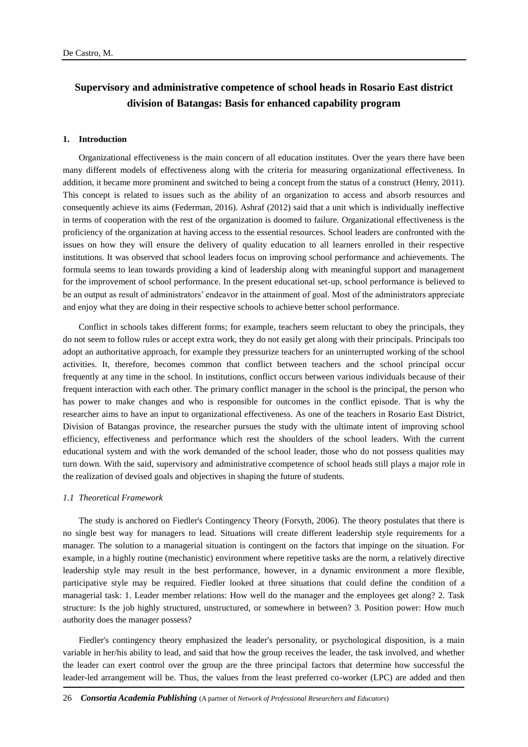# **Supervisory and administrative competence of school heads in Rosario East district division of Batangas: Basis for enhanced capability program**

#### **1. Introduction**

Organizational effectiveness is the main concern of all education institutes. Over the years there have been many different models of effectiveness along with the criteria for measuring organizational effectiveness. In addition, it became more prominent and switched to being a concept from the status of a construct (Henry, 2011). This concept is related to issues such as the ability of an organization to access and absorb resources and consequently achieve its aims (Federman, 2016). Ashraf (2012) said that a unit which is individually ineffective in terms of cooperation with the rest of the organization is doomed to failure. Organizational effectiveness is the proficiency of the organization at having access to the essential resources. School leaders are confronted with the issues on how they will ensure the delivery of quality education to all learners enrolled in their respective institutions. It was observed that school leaders focus on improving school performance and achievements. The formula seems to lean towards providing a kind of leadership along with meaningful support and management for the improvement of school performance. In the present educational set-up, school performance is believed to be an output as result of administrators' endeavor in the attainment of goal. Most of the administrators appreciate and enjoy what they are doing in their respective schools to achieve better school performance.

Conflict in schools takes different forms; for example, teachers seem reluctant to obey the principals, they do not seem to follow rules or accept extra work, they do not easily get along with their principals. Principals too adopt an authoritative approach, for example they pressurize teachers for an uninterrupted working of the school activities. It, therefore, becomes common that conflict between teachers and the school principal occur frequently at any time in the school. In institutions, conflict occurs between various individuals because of their frequent interaction with each other. The primary conflict manager in the school is the principal, the person who has power to make changes and who is responsible for outcomes in the conflict episode. That is why the researcher aims to have an input to organizational effectiveness. As one of the teachers in Rosario East District, Division of Batangas province, the researcher pursues the study with the ultimate intent of improving school efficiency, effectiveness and performance which rest the shoulders of the school leaders. With the current educational system and with the work demanded of the school leader, those who do not possess qualities may turn down. With the said, supervisory and administrative ccompetence of school heads still plays a major role in the realization of devised goals and objectives in shaping the future of students.

#### *1.1 Theoretical Framework*

The study is anchored on Fiedler's Contingency Theory (Forsyth, 2006). The theory postulates that there is no single best way for managers to lead. Situations will create different leadership style requirements for a manager. The solution to a managerial situation is contingent on the factors that impinge on the situation. For example, in a highly routine (mechanistic) environment where repetitive tasks are the norm, a relatively directive leadership style may result in the best performance, however, in a dynamic environment a more flexible, participative style may be required. Fiedler looked at three situations that could define the condition of a managerial task: 1. Leader member relations: How well do the manager and the employees get along? 2. Task structure: Is the job highly structured, unstructured, or somewhere in between? 3. Position power: How much authority does the manager possess?

Fiedler's contingency theory emphasized the leader's personality, or psychological disposition, is a main variable in her/his ability to lead, and said that how the group receives the leader, the task involved, and whether the leader can exert control over the group are the three principal factors that determine how successful the leader-led arrangement will be. Thus, the values from the least preferred co-worker (LPC) are added and then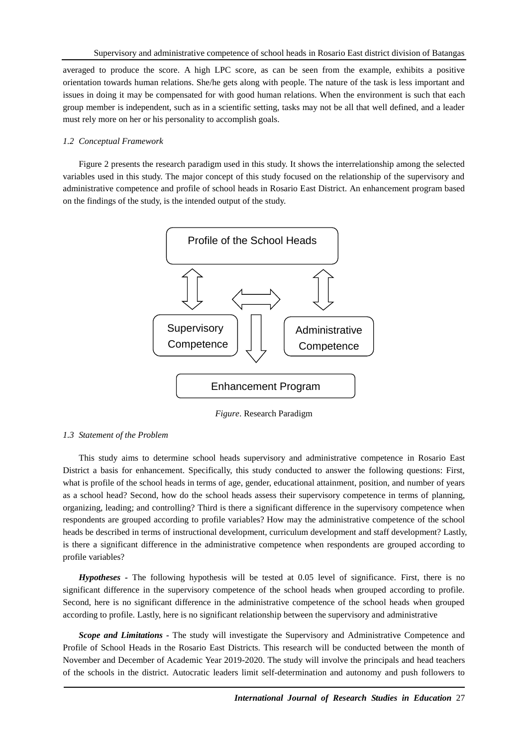averaged to produce the score. A high LPC score, as can be seen from the example, exhibits a positive orientation towards human relations. She/he gets along with people. The nature of the task is less important and issues in doing it may be compensated for with good human relations. When the environment is such that each group member is independent, such as in a scientific setting, tasks may not be all that well defined, and a leader must rely more on her or his personality to accomplish goals.

# *1.2 Conceptual Framework*

Figure 2 presents the research paradigm used in this study. It shows the interrelationship among the selected variables used in this study. The major concept of this study focused on the relationship of the supervisory and administrative competence and profile of school heads in Rosario East District. An enhancement program based on the findings of the study, is the intended output of the study.



*Figure*. Research Paradigm

# *1.3 Statement of the Problem*

This study aims to determine school heads supervisory and administrative competence in Rosario East District a basis for enhancement. Specifically, this study conducted to answer the following questions: First, what is profile of the school heads in terms of age, gender, educational attainment, position, and number of years as a school head? Second, how do the school heads assess their supervisory competence in terms of planning, organizing, leading; and controlling? Third is there a significant difference in the supervisory competence when respondents are grouped according to profile variables? How may the administrative competence of the school heads be described in terms of instructional development, curriculum development and staff development? Lastly, is there a significant difference in the administrative competence when respondents are grouped according to profile variables?

*Hypotheses -* The following hypothesis will be tested at 0.05 level of significance. First, there is no significant difference in the supervisory competence of the school heads when grouped according to profile. Second, here is no significant difference in the administrative competence of the school heads when grouped according to profile. Lastly, here is no significant relationship between the supervisory and administrative

*Scope and Limitations -* The study will investigate the Supervisory and Administrative Competence and Profile of School Heads in the Rosario East Districts. This research will be conducted between the month of November and December of Academic Year 2019-2020. The study will involve the principals and head teachers of the schools in the district. Autocratic leaders limit self-determination and autonomy and push followers to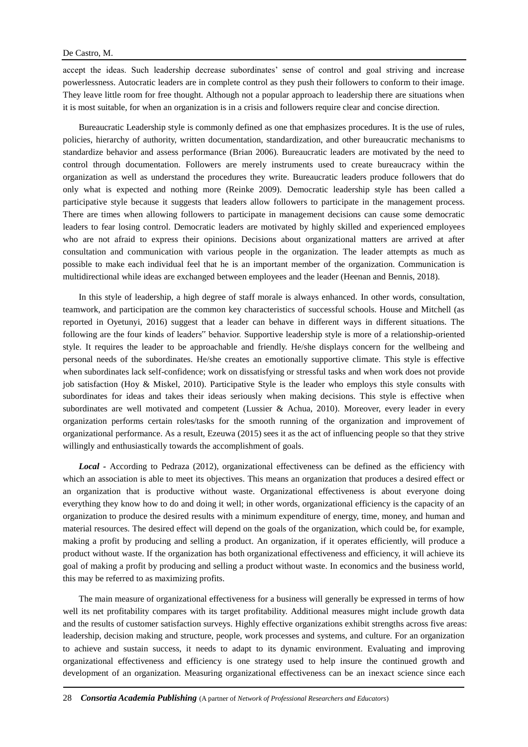accept the ideas. Such leadership decrease subordinates' sense of control and goal striving and increase powerlessness. Autocratic leaders are in complete control as they push their followers to conform to their image. They leave little room for free thought. Although not a popular approach to leadership there are situations when it is most suitable, for when an organization is in a crisis and followers require clear and concise direction.

Bureaucratic Leadership style is commonly defined as one that emphasizes procedures. It is the use of rules, policies, hierarchy of authority, written documentation, standardization, and other bureaucratic mechanisms to standardize behavior and assess performance (Brian 2006). Bureaucratic leaders are motivated by the need to control through documentation. Followers are merely instruments used to create bureaucracy within the organization as well as understand the procedures they write. Bureaucratic leaders produce followers that do only what is expected and nothing more (Reinke 2009). Democratic leadership style has been called a participative style because it suggests that leaders allow followers to participate in the management process. There are times when allowing followers to participate in management decisions can cause some democratic leaders to fear losing control. Democratic leaders are motivated by highly skilled and experienced employees who are not afraid to express their opinions. Decisions about organizational matters are arrived at after consultation and communication with various people in the organization. The leader attempts as much as possible to make each individual feel that he is an important member of the organization. Communication is multidirectional while ideas are exchanged between employees and the leader (Heenan and Bennis, 2018).

In this style of leadership, a high degree of staff morale is always enhanced. In other words, consultation, teamwork, and participation are the common key characteristics of successful schools. House and Mitchell (as reported in Oyetunyi, 2016) suggest that a leader can behave in different ways in different situations. The following are the four kinds of leaders" behavior. Supportive leadership style is more of a relationship-oriented style. It requires the leader to be approachable and friendly. He/she displays concern for the wellbeing and personal needs of the subordinates. He/she creates an emotionally supportive climate. This style is effective when subordinates lack self-confidence; work on dissatisfying or stressful tasks and when work does not provide job satisfaction (Hoy & Miskel, 2010). Participative Style is the leader who employs this style consults with subordinates for ideas and takes their ideas seriously when making decisions. This style is effective when subordinates are well motivated and competent (Lussier & Achua, 2010). Moreover, every leader in every organization performs certain roles/tasks for the smooth running of the organization and improvement of organizational performance. As a result, Ezeuwa (2015) sees it as the act of influencing people so that they strive willingly and enthusiastically towards the accomplishment of goals.

*Local -* According to Pedraza (2012), organizational effectiveness can be defined as the efficiency with which an association is able to meet its objectives. This means an organization that produces a desired effect or an organization that is productive without waste. Organizational effectiveness is about everyone doing everything they know how to do and doing it well; in other words, organizational efficiency is the capacity of an organization to produce the desired results with a minimum expenditure of energy, time, money, and human and material resources. The desired effect will depend on the goals of the organization, which could be, for example, making a profit by producing and selling a product. An organization, if it operates efficiently, will produce a product without waste. If the organization has both organizational effectiveness and efficiency, it will achieve its goal of making a profit by producing and selling a product without waste. In economics and the business world, this may be referred to as maximizing profits.

The main measure of organizational effectiveness for a business will generally be expressed in terms of how well its net profitability compares with its target profitability. Additional measures might include growth data and the results of customer satisfaction surveys. Highly effective organizations exhibit strengths across five areas: leadership, decision making and structure, people, work processes and systems, and culture. For an organization to achieve and sustain success, it needs to adapt to its dynamic environment. Evaluating and improving organizational effectiveness and efficiency is one strategy used to help insure the continued growth and development of an organization. Measuring organizational effectiveness can be an inexact science since each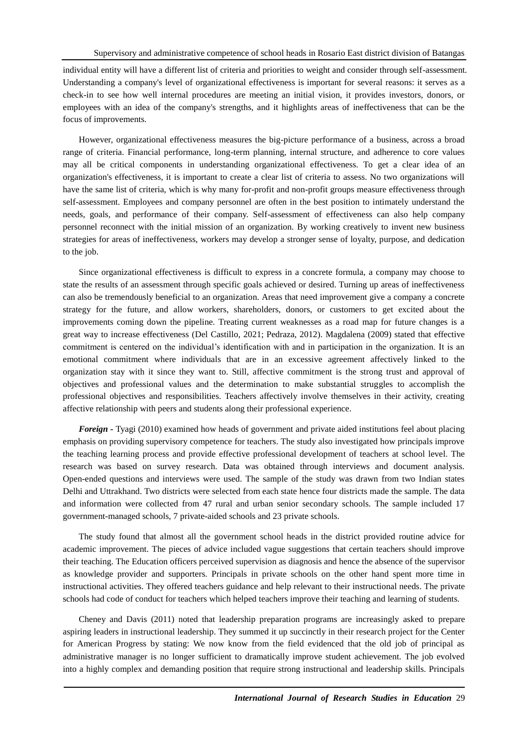individual entity will have a different list of criteria and priorities to weight and consider through self-assessment. Understanding a company's level of organizational effectiveness is important for several reasons: it serves as a check-in to see how well internal procedures are meeting an initial vision, it provides investors, donors, or employees with an idea of the company's strengths, and it highlights areas of ineffectiveness that can be the focus of improvements.

However, organizational effectiveness measures the big-picture performance of a business, across a broad range of criteria. Financial performance, long-term planning, internal structure, and adherence to core values may all be critical components in understanding organizational effectiveness. To get a clear idea of an organization's effectiveness, it is important to create a clear list of criteria to assess. No two organizations will have the same list of criteria, which is why many for-profit and non-profit groups measure effectiveness through self-assessment. Employees and company personnel are often in the best position to intimately understand the needs, goals, and performance of their company. Self-assessment of effectiveness can also help company personnel reconnect with the initial mission of an organization. By working creatively to invent new business strategies for areas of ineffectiveness, workers may develop a stronger sense of loyalty, purpose, and dedication to the job.

Since organizational effectiveness is difficult to express in a concrete formula, a company may choose to state the results of an assessment through specific goals achieved or desired. Turning up areas of ineffectiveness can also be tremendously beneficial to an organization. Areas that need improvement give a company a concrete strategy for the future, and allow workers, shareholders, donors, or customers to get excited about the improvements coming down the pipeline. Treating current weaknesses as a road map for future changes is a great way to increase effectiveness (Del Castillo, 2021; Pedraza, 2012). Magdalena (2009) stated that effective commitment is centered on the individual's identification with and in participation in the organization. It is an emotional commitment where individuals that are in an excessive agreement affectively linked to the organization stay with it since they want to. Still, affective commitment is the strong trust and approval of objectives and professional values and the determination to make substantial struggles to accomplish the professional objectives and responsibilities. Teachers affectively involve themselves in their activity, creating affective relationship with peers and students along their professional experience.

*Foreign -* Tyagi (2010) examined how heads of government and private aided institutions feel about placing emphasis on providing supervisory competence for teachers. The study also investigated how principals improve the teaching learning process and provide effective professional development of teachers at school level. The research was based on survey research. Data was obtained through interviews and document analysis. Open-ended questions and interviews were used. The sample of the study was drawn from two Indian states Delhi and Uttrakhand. Two districts were selected from each state hence four districts made the sample. The data and information were collected from 47 rural and urban senior secondary schools. The sample included 17 government-managed schools, 7 private-aided schools and 23 private schools.

The study found that almost all the government school heads in the district provided routine advice for academic improvement. The pieces of advice included vague suggestions that certain teachers should improve their teaching. The Education officers perceived supervision as diagnosis and hence the absence of the supervisor as knowledge provider and supporters. Principals in private schools on the other hand spent more time in instructional activities. They offered teachers guidance and help relevant to their instructional needs. The private schools had code of conduct for teachers which helped teachers improve their teaching and learning of students.

Cheney and Davis (2011) noted that leadership preparation programs are increasingly asked to prepare aspiring leaders in instructional leadership. They summed it up succinctly in their research project for the Center for American Progress by stating: We now know from the field evidenced that the old job of principal as administrative manager is no longer sufficient to dramatically improve student achievement. The job evolved into a highly complex and demanding position that require strong instructional and leadership skills. Principals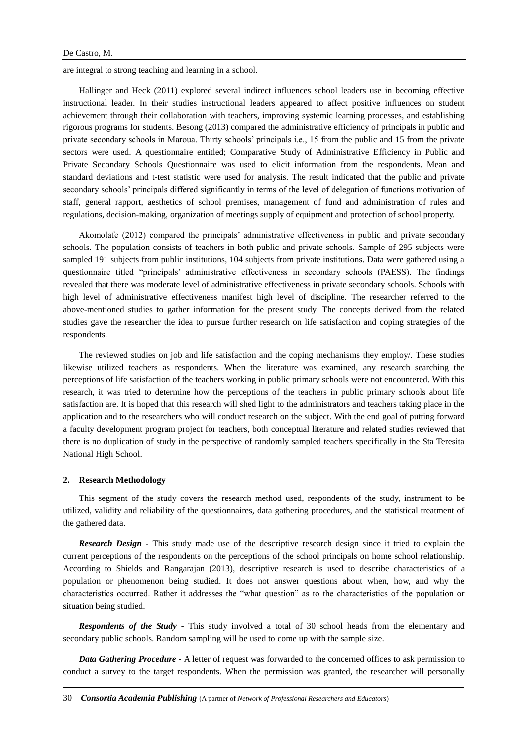are integral to strong teaching and learning in a school.

Hallinger and Heck (2011) explored several indirect influences school leaders use in becoming effective instructional leader. In their studies instructional leaders appeared to affect positive influences on student achievement through their collaboration with teachers, improving systemic learning processes, and establishing rigorous programs for students. Besong (2013) compared the administrative efficiency of principals in public and private secondary schools in Maroua. Thirty schools' principals i.e., 15 from the public and 15 from the private sectors were used. A questionnaire entitled; Comparative Study of Administrative Efficiency in Public and Private Secondary Schools Questionnaire was used to elicit information from the respondents. Mean and standard deviations and t-test statistic were used for analysis. The result indicated that the public and private secondary schools' principals differed significantly in terms of the level of delegation of functions motivation of staff, general rapport, aesthetics of school premises, management of fund and administration of rules and regulations, decision-making, organization of meetings supply of equipment and protection of school property.

Akomolafe (2012) compared the principals' administrative effectiveness in public and private secondary schools. The population consists of teachers in both public and private schools. Sample of 295 subjects were sampled 191 subjects from public institutions, 104 subjects from private institutions. Data were gathered using a questionnaire titled "principals' administrative effectiveness in secondary schools (PAESS). The findings revealed that there was moderate level of administrative effectiveness in private secondary schools. Schools with high level of administrative effectiveness manifest high level of discipline. The researcher referred to the above-mentioned studies to gather information for the present study. The concepts derived from the related studies gave the researcher the idea to pursue further research on life satisfaction and coping strategies of the respondents.

The reviewed studies on job and life satisfaction and the coping mechanisms they employ/. These studies likewise utilized teachers as respondents. When the literature was examined, any research searching the perceptions of life satisfaction of the teachers working in public primary schools were not encountered. With this research, it was tried to determine how the perceptions of the teachers in public primary schools about life satisfaction are. It is hoped that this research will shed light to the administrators and teachers taking place in the application and to the researchers who will conduct research on the subject. With the end goal of putting forward a faculty development program project for teachers, both conceptual literature and related studies reviewed that there is no duplication of study in the perspective of randomly sampled teachers specifically in the Sta Teresita National High School.

#### **2. Research Methodology**

This segment of the study covers the research method used, respondents of the study, instrument to be utilized, validity and reliability of the questionnaires, data gathering procedures, and the statistical treatment of the gathered data.

*Research Design -* This study made use of the descriptive research design since it tried to explain the current perceptions of the respondents on the perceptions of the school principals on home school relationship. According to Shields and Rangarajan (2013), descriptive research is used to describe characteristics of a population or phenomenon being studied. It does not answer questions about when, how, and why the characteristics occurred. Rather it addresses the "what question" as to the characteristics of the population or situation being studied.

*Respondents of the Study -* This study involved a total of 30 school heads from the elementary and secondary public schools. Random sampling will be used to come up with the sample size.

*Data Gathering Procedure -* A letter of request was forwarded to the concerned offices to ask permission to conduct a survey to the target respondents. When the permission was granted, the researcher will personally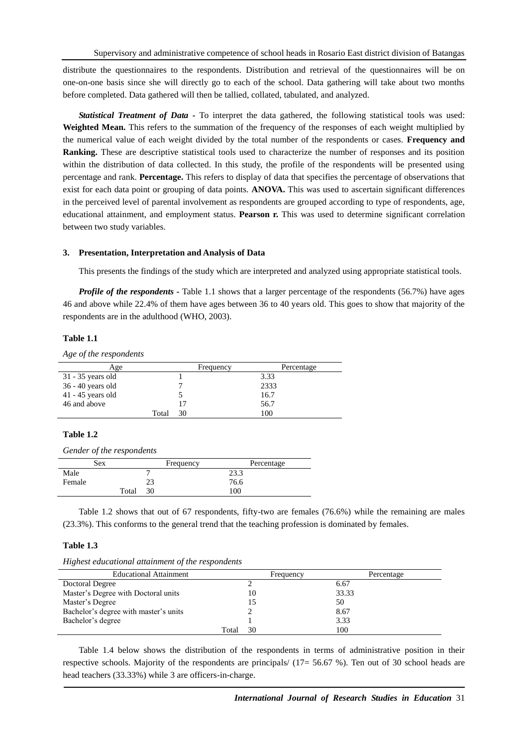distribute the questionnaires to the respondents. Distribution and retrieval of the questionnaires will be on one-on-one basis since she will directly go to each of the school. Data gathering will take about two months before completed. Data gathered will then be tallied, collated, tabulated, and analyzed.

*Statistical Treatment of Data -* To interpret the data gathered, the following statistical tools was used: **Weighted Mean.** This refers to the summation of the frequency of the responses of each weight multiplied by the numerical value of each weight divided by the total number of the respondents or cases. **Frequency and Ranking.** These are descriptive statistical tools used to characterize the number of responses and its position within the distribution of data collected. In this study, the profile of the respondents will be presented using percentage and rank. **Percentage.** This refers to display of data that specifies the percentage of observations that exist for each data point or grouping of data points. **ANOVA.** This was used to ascertain significant differences in the perceived level of parental involvement as respondents are grouped according to type of respondents, age, educational attainment, and employment status. **Pearson r.** This was used to determine significant correlation between two study variables.

#### **3. Presentation, Interpretation and Analysis of Data**

This presents the findings of the study which are interpreted and analyzed using appropriate statistical tools.

*Profile of the respondents* **-** Table 1.1 shows that a larger percentage of the respondents (56.7%) have ages 46 and above while 22.4% of them have ages between 36 to 40 years old. This goes to show that majority of the respondents are in the adulthood (WHO, 2003).

#### **Table 1.1**

*Age of the respondents*

| Age                 |       | Frequency | Percentage |
|---------------------|-------|-----------|------------|
| 31 - 35 years old   |       |           | 3.33       |
| 36 - 40 years old   |       |           | 2333       |
| $41 - 45$ years old |       |           | 16.7       |
| 46 and above        |       | 17        | 56.7       |
|                     | Total | 30        | 100        |

#### **Table 1.2**

*Gender of the respondents*

|        | Sex   | Frequency | Percentage |
|--------|-------|-----------|------------|
| Male   |       |           | 23.3       |
| Female |       | າາ        | 76.6       |
|        | Total | 30        | 100        |

Table 1.2 shows that out of 67 respondents, fifty-two are females (76.6%) while the remaining are males (23.3%). This conforms to the general trend that the teaching profession is dominated by females.

#### **Table 1.3**

*Highest educational attainment of the respondents*

| <b>Educational Attainment</b>         |       | Frequency | Percentage |
|---------------------------------------|-------|-----------|------------|
| Doctoral Degree                       |       |           | 6.67       |
| Master's Degree with Doctoral units   |       | 10        | 33.33      |
| Master's Degree                       |       |           | 50         |
| Bachelor's degree with master's units |       |           | 8.67       |
| Bachelor's degree                     |       |           | 3.33       |
|                                       | Total | 30        | 100        |

Table 1.4 below shows the distribution of the respondents in terms of administrative position in their respective schools. Majority of the respondents are principals/ (17= 56.67 %). Ten out of 30 school heads are head teachers (33.33%) while 3 are officers-in-charge.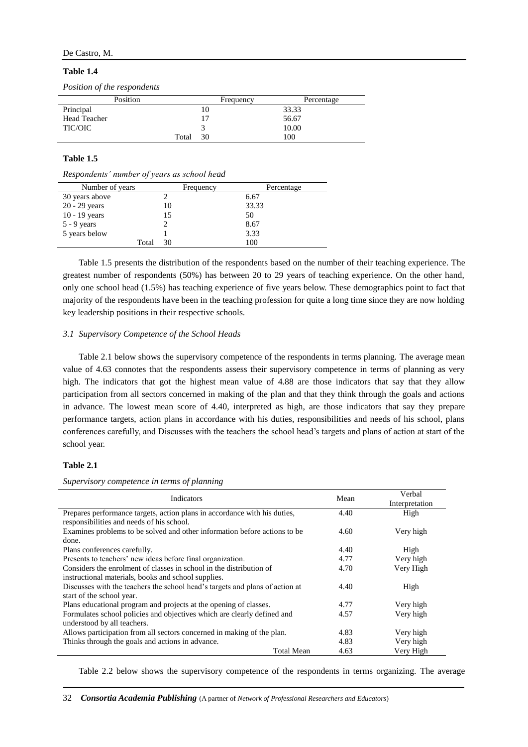# **Table 1.4**

|  |  |  | Position of the respondents |
|--|--|--|-----------------------------|
|--|--|--|-----------------------------|

| Position            |       | Frequency | Percentage |
|---------------------|-------|-----------|------------|
| Principal           |       | 10        | 33.33      |
| <b>Head Teacher</b> |       | 17        | 56.67      |
| TIC/OIC             |       |           | 10.00      |
|                     | Total | 30        | 100        |

#### **Table 1.5**

*Respondents' number of years as school head*

| Number of years |       | Frequency | Percentage |
|-----------------|-------|-----------|------------|
| 30 years above  |       |           | 6.67       |
| $20 - 29$ years |       | 10        | 33.33      |
| $10 - 19$ years |       | 15        | 50         |
| $5 - 9$ years   |       |           | 8.67       |
| 5 years below   |       |           | 3.33       |
|                 | Total | 30        | 100        |

Table 1.5 presents the distribution of the respondents based on the number of their teaching experience. The greatest number of respondents (50%) has between 20 to 29 years of teaching experience. On the other hand, only one school head (1.5%) has teaching experience of five years below. These demographics point to fact that majority of the respondents have been in the teaching profession for quite a long time since they are now holding key leadership positions in their respective schools.

# *3.1 Supervisory Competence of the School Heads*

Table 2.1 below shows the supervisory competence of the respondents in terms planning. The average mean value of 4.63 connotes that the respondents assess their supervisory competence in terms of planning as very high. The indicators that got the highest mean value of 4.88 are those indicators that say that they allow participation from all sectors concerned in making of the plan and that they think through the goals and actions in advance. The lowest mean score of 4.40, interpreted as high, are those indicators that say they prepare performance targets, action plans in accordance with his duties, responsibilities and needs of his school, plans conferences carefully, and Discusses with the teachers the school head's targets and plans of action at start of the school year.

# **Table 2.1**

*Supervisory competence in terms of planning*

| Indicators                                                                   | Mean | Verbal         |
|------------------------------------------------------------------------------|------|----------------|
|                                                                              |      | Interpretation |
| Prepares performance targets, action plans in accordance with his duties,    | 4.40 | High           |
| responsibilities and needs of his school.                                    |      |                |
| Examines problems to be solved and other information before actions to be    | 4.60 | Very high      |
| done.                                                                        |      |                |
| Plans conferences carefully.                                                 | 4.40 | High           |
| Presents to teachers' new ideas before final organization.                   | 4.77 | Very high      |
| Considers the enrolment of classes in school in the distribution of          | 4.70 | Very High      |
| instructional materials, books and school supplies.                          |      |                |
| Discusses with the teachers the school head's targets and plans of action at | 4.40 | High           |
| start of the school year.                                                    |      |                |
| Plans educational program and projects at the opening of classes.            | 4.77 | Very high      |
| Formulates school policies and objectives which are clearly defined and      | 4.57 | Very high      |
| understood by all teachers.                                                  |      |                |
| Allows participation from all sectors concerned in making of the plan.       | 4.83 | Very high      |
| Thinks through the goals and actions in advance.                             | 4.83 | Very high      |
| <b>Total Mean</b>                                                            | 4.63 | Very High      |

Table 2.2 below shows the supervisory competence of the respondents in terms organizing. The average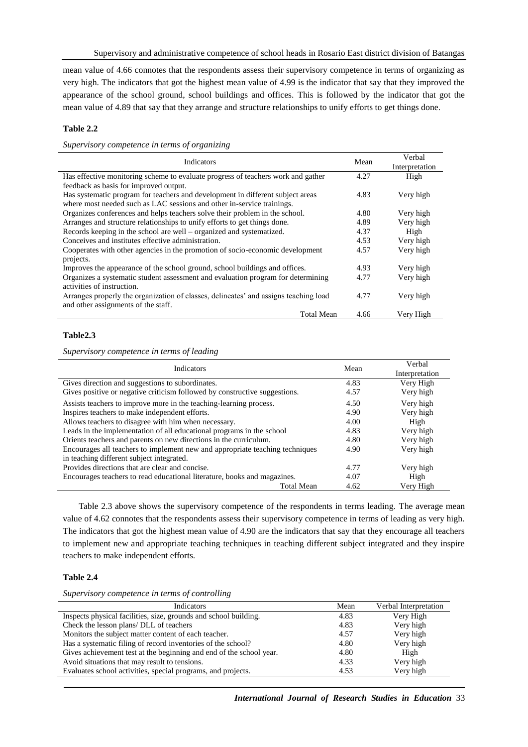mean value of 4.66 connotes that the respondents assess their supervisory competence in terms of organizing as very high. The indicators that got the highest mean value of 4.99 is the indicator that say that they improved the appearance of the school ground, school buildings and offices. This is followed by the indicator that got the mean value of 4.89 that say that they arrange and structure relationships to unify efforts to get things done.

# **Table 2.2**

*Supervisory competence in terms of organizing*

| Indicators                                                                           | Mean | Verbal<br>Interpretation |
|--------------------------------------------------------------------------------------|------|--------------------------|
| Has effective monitoring scheme to evaluate progress of teachers work and gather     | 4.27 | High                     |
| feedback as basis for improved output.                                               |      |                          |
| Has systematic program for teachers and development in different subject areas       | 4.83 | Very high                |
| where most needed such as LAC sessions and other in-service trainings.               |      |                          |
| Organizes conferences and helps teachers solve their problem in the school.          | 4.80 | Very high                |
| Arranges and structure relationships to unify efforts to get things done.            | 4.89 | Very high                |
| Records keeping in the school are well – organized and systematized.                 | 4.37 | High                     |
| Conceives and institutes effective administration.                                   | 4.53 | Very high                |
| Cooperates with other agencies in the promotion of socio-economic development        | 4.57 | Very high                |
| projects.                                                                            |      |                          |
| Improves the appearance of the school ground, school buildings and offices.          | 4.93 | Very high                |
| Organizes a systematic student assessment and evaluation program for determining     | 4.77 | Very high                |
| activities of instruction.                                                           |      |                          |
| Arranges properly the organization of classes, delineates' and assigns teaching load | 4.77 | Very high                |
| and other assignments of the staff.                                                  |      |                          |
| <b>Total Mean</b>                                                                    | 4.66 | Very High                |

# **Table2.3**

*Supervisory competence in terms of leading*

| <b>Indicators</b>                                                            | Mean | Verbal         |
|------------------------------------------------------------------------------|------|----------------|
|                                                                              |      | Interpretation |
| Gives direction and suggestions to subordinates.                             | 4.83 | Very High      |
| Gives positive or negative criticism followed by constructive suggestions.   | 4.57 | Very high      |
| Assists teachers to improve more in the teaching-learning process.           | 4.50 | Very high      |
| Inspires teachers to make independent efforts.                               | 4.90 | Very high      |
| Allows teachers to disagree with him when necessary.                         | 4.00 | High           |
| Leads in the implementation of all educational programs in the school        | 4.83 | Very high      |
| Orients teachers and parents on new directions in the curriculum.            | 4.80 | Very high      |
| Encourages all teachers to implement new and appropriate teaching techniques | 4.90 | Very high      |
| in teaching different subject integrated.                                    |      |                |
| Provides directions that are clear and concise.                              | 4.77 | Very high      |
| Encourages teachers to read educational literature, books and magazines.     | 4.07 | High           |
| <b>Total Mean</b>                                                            | 4.62 | Very High      |

Table 2.3 above shows the supervisory competence of the respondents in terms leading. The average mean value of 4.62 connotes that the respondents assess their supervisory competence in terms of leading as very high. The indicators that got the highest mean value of 4.90 are the indicators that say that they encourage all teachers to implement new and appropriate teaching techniques in teaching different subject integrated and they inspire teachers to make independent efforts.

# **Table 2.4**

*Supervisory competence in terms of controlling*

| Indicators                                                          | Mean | Verbal Interpretation |
|---------------------------------------------------------------------|------|-----------------------|
| Inspects physical facilities, size, grounds and school building.    | 4.83 | Very High             |
| Check the lesson plans/ DLL of teachers                             | 4.83 | Very high             |
| Monitors the subject matter content of each teacher.                | 4.57 | Very high             |
| Has a systematic filing of record inventories of the school?        | 4.80 | Very high             |
| Gives achievement test at the beginning and end of the school year. | 4.80 | High                  |
| Avoid situations that may result to tensions.                       | 4.33 | Very high             |
| Evaluates school activities, special programs, and projects.        | 4.53 | Very high             |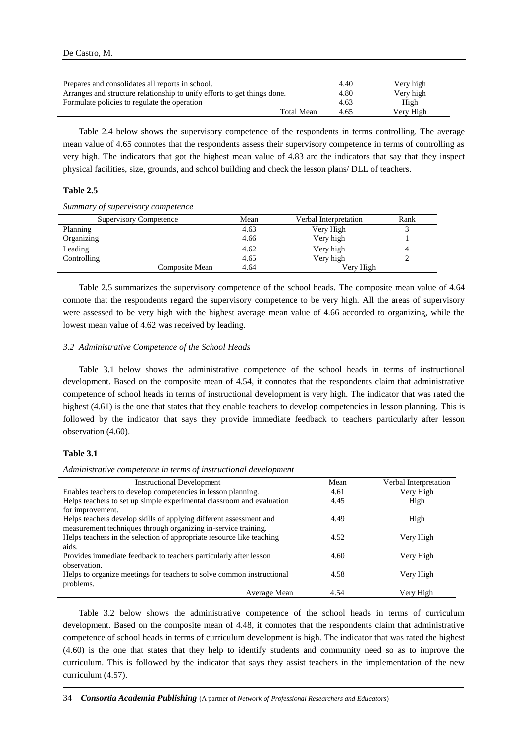| Prepares and consolidates all reports in school.                         |                   | 4.40 | Very high |
|--------------------------------------------------------------------------|-------------------|------|-----------|
| Arranges and structure relationship to unify efforts to get things done. |                   | 4.80 | Very high |
| Formulate policies to regulate the operation                             |                   | 4.63 | High      |
|                                                                          | <b>Total Mean</b> | 4.65 | Very High |

Table 2.4 below shows the supervisory competence of the respondents in terms controlling. The average mean value of 4.65 connotes that the respondents assess their supervisory competence in terms of controlling as very high. The indicators that got the highest mean value of 4.83 are the indicators that say that they inspect physical facilities, size, grounds, and school building and check the lesson plans/ DLL of teachers.

# **Table 2.5**

*Summary of supervisory competence*

| <b>Supervisory Competence</b> | Mean | Verbal Interpretation | Rank |
|-------------------------------|------|-----------------------|------|
| Planning                      | 4.63 | Very High             |      |
| Organizing                    | 4.66 | Very high             |      |
| Leading                       | 4.62 | Very high             | 4    |
| Controlling                   | 4.65 | Very high             |      |
| Composite Mean                | 4.64 | Verv High             |      |

Table 2.5 summarizes the supervisory competence of the school heads. The composite mean value of 4.64 connote that the respondents regard the supervisory competence to be very high. All the areas of supervisory were assessed to be very high with the highest average mean value of 4.66 accorded to organizing, while the lowest mean value of 4.62 was received by leading.

# *3.2 Administrative Competence of the School Heads*

Table 3.1 below shows the administrative competence of the school heads in terms of instructional development. Based on the composite mean of 4.54, it connotes that the respondents claim that administrative competence of school heads in terms of instructional development is very high. The indicator that was rated the highest (4.61) is the one that states that they enable teachers to develop competencies in lesson planning. This is followed by the indicator that says they provide immediate feedback to teachers particularly after lesson observation (4.60).

## **Table 3.1**

*Administrative competence in terms of instructional development*

| <b>Instructional Development</b>                                      | Mean | Verbal Interpretation |
|-----------------------------------------------------------------------|------|-----------------------|
| Enables teachers to develop competencies in lesson planning.          | 4.61 | Very High             |
| Helps teachers to set up simple experimental classroom and evaluation | 4.45 | High                  |
| for improvement.                                                      |      |                       |
| Helps teachers develop skills of applying different assessment and    | 4.49 | High                  |
| measurement techniques through organizing in-service training.        |      |                       |
| Helps teachers in the selection of appropriate resource like teaching | 4.52 | Very High             |
| aids.                                                                 |      |                       |
| Provides immediate feedback to teachers particularly after lesson     | 4.60 | Very High             |
| observation.                                                          |      |                       |
| Helps to organize meetings for teachers to solve common instructional | 4.58 | Very High             |
| problems.                                                             |      |                       |
| Average Mean                                                          | 4.54 | Very High             |

Table 3.2 below shows the administrative competence of the school heads in terms of curriculum development. Based on the composite mean of 4.48, it connotes that the respondents claim that administrative competence of school heads in terms of curriculum development is high. The indicator that was rated the highest (4.60) is the one that states that they help to identify students and community need so as to improve the curriculum. This is followed by the indicator that says they assist teachers in the implementation of the new curriculum (4.57).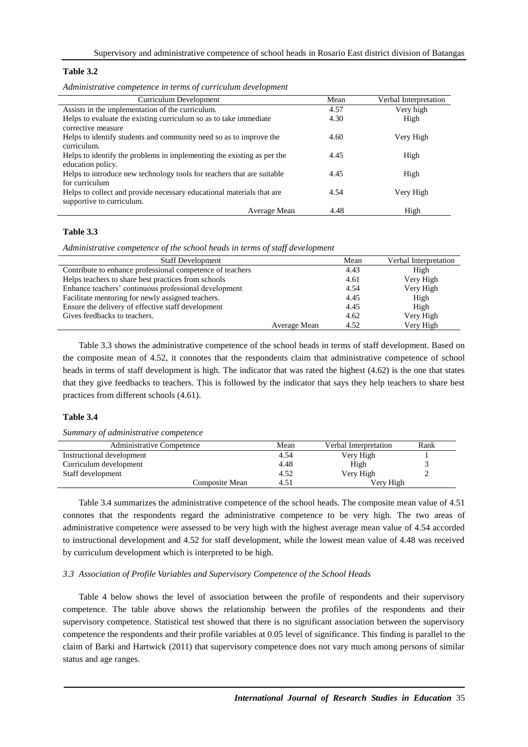# **Table 3.2**

| Administrative competence in terms of curriculum development                                       |      |                       |
|----------------------------------------------------------------------------------------------------|------|-----------------------|
| Curriculum Development                                                                             | Mean | Verbal Interpretation |
| Assists in the implementation of the curriculum.                                                   | 4.57 | Very high             |
| Helps to evaluate the existing curriculum so as to take immediate<br>corrective measure            | 4.30 | High                  |
| Helps to identify students and community need so as to improve the<br>curriculum.                  | 4.60 | Very High             |
| Helps to identify the problems in implementing the existing as per the<br>education policy.        | 4.45 | High                  |
| Helps to introduce new technology tools for teachers that are suitable<br>for curriculum           | 4.45 | High                  |
| Helps to collect and provide necessary educational materials that are<br>supportive to curriculum. | 4.54 | Very High             |
| Average Mean                                                                                       | 4.48 | High                  |

*Administrative competence in terms of curriculum development*

# **Table 3.3**

*Administrative competence of the school heads in terms of staff development*

| <b>Staff Development</b>                                  |              | Mean | Verbal Interpretation |
|-----------------------------------------------------------|--------------|------|-----------------------|
| Contribute to enhance professional competence of teachers |              | 4.43 | High                  |
| Helps teachers to share best practices from schools       |              | 4.61 | Very High             |
| Enhance teachers' continuous professional development     |              | 4.54 | Very High             |
| Facilitate mentoring for newly assigned teachers.         |              | 4.45 | High                  |
| Ensure the delivery of effective staff development        |              | 4.45 | High                  |
| Gives feedbacks to teachers.                              |              | 4.62 | Very High             |
|                                                           | Average Mean | 4.52 | Very High             |

Table 3.3 shows the administrative competence of the school heads in terms of staff development. Based on the composite mean of 4.52, it connotes that the respondents claim that administrative competence of school heads in terms of staff development is high. The indicator that was rated the highest (4.62) is the one that states that they give feedbacks to teachers. This is followed by the indicator that says they help teachers to share best practices from different schools (4.61).

# **Table 3.4**

*Summary of administrative competence*

| <b>Administrative Competence</b> |                | Mean | Verbal Interpretation | Rank |
|----------------------------------|----------------|------|-----------------------|------|
| Instructional development        |                | 4.54 | Very High             |      |
| Curriculum development           |                | 4.48 | High                  |      |
| Staff development                |                | 4.52 | Very High             |      |
|                                  | Composite Mean | 4.51 | Verv High             |      |

Table 3.4 summarizes the administrative competence of the school heads. The composite mean value of 4.51 connotes that the respondents regard the administrative competence to be very high. The two areas of administrative competence were assessed to be very high with the highest average mean value of 4.54 accorded to instructional development and 4.52 for staff development, while the lowest mean value of 4.48 was received by curriculum development which is interpreted to be high.

#### *3.3 Association of Profile Variables and Supervisory Competence of the School Heads*

Table 4 below shows the level of association between the profile of respondents and their supervisory competence. The table above shows the relationship between the profiles of the respondents and their supervisory competence. Statistical test showed that there is no significant association between the supervisory competence the respondents and their profile variables at 0.05 level of significance. This finding is parallel to the claim of Barki and Hartwick (2011) that supervisory competence does not vary much among persons of similar status and age ranges.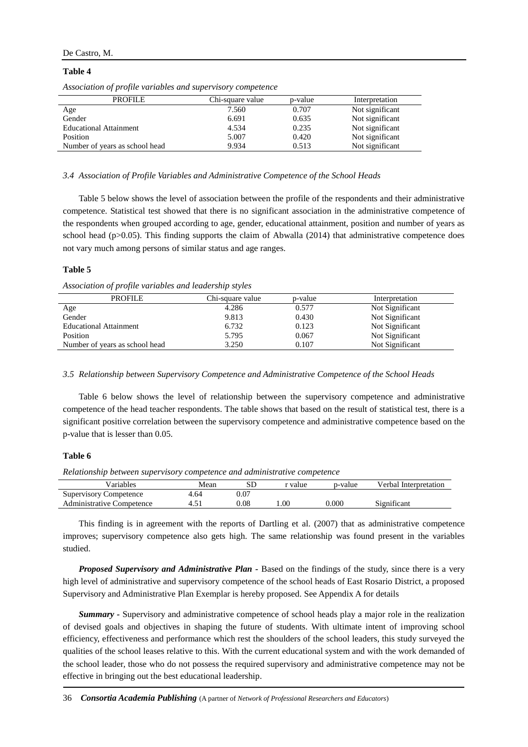# De Castro, M.

#### **Table 4**

| <b>PROFILE</b>                 | Chi-square value | p-value | Interpretation  |
|--------------------------------|------------------|---------|-----------------|
| Age                            | 7.560            | 0.707   | Not significant |
| Gender                         | 6.691            | 0.635   | Not significant |
| <b>Educational Attainment</b>  | 4.534            | 0.235   | Not significant |
| Position                       | 5.007            | 0.420   | Not significant |
| Number of years as school head | 9.934            | 0.513   | Not significant |
|                                |                  |         |                 |

*Association of profile variables and supervisory competence*

#### *3.4 Association of Profile Variables and Administrative Competence of the School Heads*

Table 5 below shows the level of association between the profile of the respondents and their administrative competence. Statistical test showed that there is no significant association in the administrative competence of the respondents when grouped according to age, gender, educational attainment, position and number of years as school head (p>0.05). This finding supports the claim of Abwalla (2014) that administrative competence does not vary much among persons of similar status and age ranges.

# **Table 5**

*Association of profile variables and leadership styles*

| <b>PROFILE</b>                 | Chi-square value | p-value | Interpretation  |
|--------------------------------|------------------|---------|-----------------|
| Age                            | 4.286            | 0.577   | Not Significant |
| Gender                         | 9.813            | 0.430   | Not Significant |
| <b>Educational Attainment</b>  | 6.732            | 0.123   | Not Significant |
| <b>Position</b>                | 5.795            | 0.067   | Not Significant |
| Number of years as school head | 3.250            | 0.107   | Not Significant |

# *3.5 Relationship between Supervisory Competence and Administrative Competence of the School Heads*

Table 6 below shows the level of relationship between the supervisory competence and administrative competence of the head teacher respondents. The table shows that based on the result of statistical test, there is a significant positive correlation between the supervisory competence and administrative competence based on the p-value that is lesser than 0.05.

#### **Table 6**

*Relationship between supervisory competence and administrative competence*

| Variables                        | Mean | SГ   | r value | p-value | Verbal Interpretation |
|----------------------------------|------|------|---------|---------|-----------------------|
| <b>Supervisory Competence</b>    | 4.64 | 0.07 |         |         |                       |
| <b>Administrative Competence</b> |      | ).08 | .00     | 0.000   | Significant           |

This finding is in agreement with the reports of Dartling et al. (2007) that as administrative competence improves; supervisory competence also gets high. The same relationship was found present in the variables studied.

*Proposed Supervisory and Administrative Plan -* Based on the findings of the study, since there is a very high level of administrative and supervisory competence of the school heads of East Rosario District, a proposed Supervisory and Administrative Plan Exemplar is hereby proposed. See Appendix A for details

*Summary -* Supervisory and administrative competence of school heads play a major role in the realization of devised goals and objectives in shaping the future of students. With ultimate intent of improving school efficiency, effectiveness and performance which rest the shoulders of the school leaders, this study surveyed the qualities of the school leases relative to this. With the current educational system and with the work demanded of the school leader, those who do not possess the required supervisory and administrative competence may not be effective in bringing out the best educational leadership.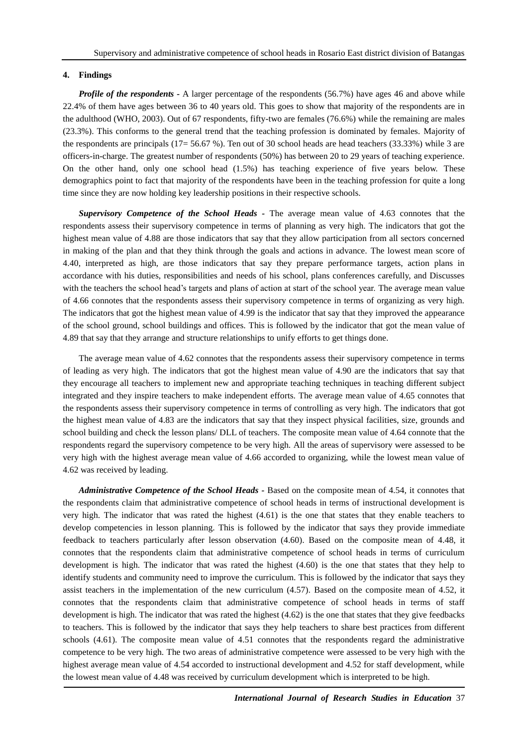# **4. Findings**

*Profile of the respondents* **-** A larger percentage of the respondents (56.7%) have ages 46 and above while 22.4% of them have ages between 36 to 40 years old. This goes to show that majority of the respondents are in the adulthood (WHO, 2003). Out of 67 respondents, fifty-two are females (76.6%) while the remaining are males (23.3%). This conforms to the general trend that the teaching profession is dominated by females. Majority of the respondents are principals (17= 56.67 %). Ten out of 30 school heads are head teachers (33.33%) while 3 are officers-in-charge. The greatest number of respondents (50%) has between 20 to 29 years of teaching experience. On the other hand, only one school head (1.5%) has teaching experience of five years below. These demographics point to fact that majority of the respondents have been in the teaching profession for quite a long time since they are now holding key leadership positions in their respective schools.

*Supervisory Competence of the School Heads -* The average mean value of 4.63 connotes that the respondents assess their supervisory competence in terms of planning as very high. The indicators that got the highest mean value of 4.88 are those indicators that say that they allow participation from all sectors concerned in making of the plan and that they think through the goals and actions in advance. The lowest mean score of 4.40, interpreted as high, are those indicators that say they prepare performance targets, action plans in accordance with his duties, responsibilities and needs of his school, plans conferences carefully, and Discusses with the teachers the school head's targets and plans of action at start of the school year. The average mean value of 4.66 connotes that the respondents assess their supervisory competence in terms of organizing as very high. The indicators that got the highest mean value of 4.99 is the indicator that say that they improved the appearance of the school ground, school buildings and offices. This is followed by the indicator that got the mean value of 4.89 that say that they arrange and structure relationships to unify efforts to get things done.

The average mean value of 4.62 connotes that the respondents assess their supervisory competence in terms of leading as very high. The indicators that got the highest mean value of 4.90 are the indicators that say that they encourage all teachers to implement new and appropriate teaching techniques in teaching different subject integrated and they inspire teachers to make independent efforts. The average mean value of 4.65 connotes that the respondents assess their supervisory competence in terms of controlling as very high. The indicators that got the highest mean value of 4.83 are the indicators that say that they inspect physical facilities, size, grounds and school building and check the lesson plans/ DLL of teachers. The composite mean value of 4.64 connote that the respondents regard the supervisory competence to be very high. All the areas of supervisory were assessed to be very high with the highest average mean value of 4.66 accorded to organizing, while the lowest mean value of 4.62 was received by leading.

*Administrative Competence of the School Heads -* Based on the composite mean of 4.54, it connotes that the respondents claim that administrative competence of school heads in terms of instructional development is very high. The indicator that was rated the highest (4.61) is the one that states that they enable teachers to develop competencies in lesson planning. This is followed by the indicator that says they provide immediate feedback to teachers particularly after lesson observation (4.60). Based on the composite mean of 4.48, it connotes that the respondents claim that administrative competence of school heads in terms of curriculum development is high. The indicator that was rated the highest (4.60) is the one that states that they help to identify students and community need to improve the curriculum. This is followed by the indicator that says they assist teachers in the implementation of the new curriculum (4.57). Based on the composite mean of 4.52, it connotes that the respondents claim that administrative competence of school heads in terms of staff development is high. The indicator that was rated the highest (4.62) is the one that states that they give feedbacks to teachers. This is followed by the indicator that says they help teachers to share best practices from different schools (4.61). The composite mean value of 4.51 connotes that the respondents regard the administrative competence to be very high. The two areas of administrative competence were assessed to be very high with the highest average mean value of 4.54 accorded to instructional development and 4.52 for staff development, while the lowest mean value of 4.48 was received by curriculum development which is interpreted to be high.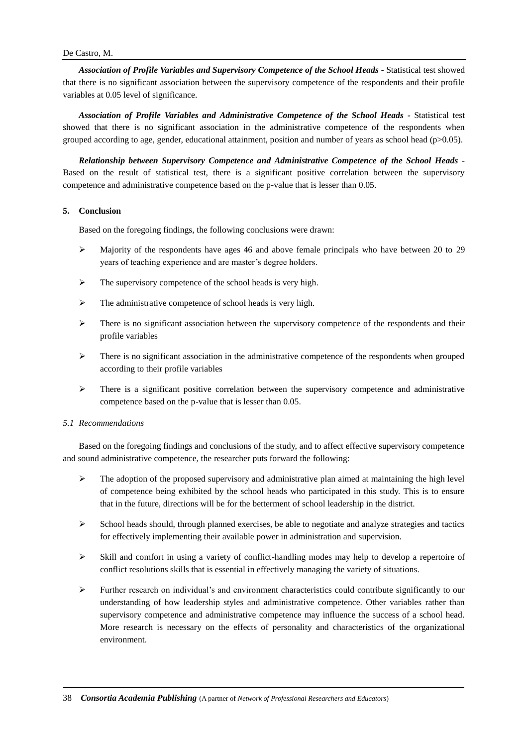*Association of Profile Variables and Supervisory Competence of the School Heads -* Statistical test showed that there is no significant association between the supervisory competence of the respondents and their profile variables at 0.05 level of significance.

*Association of Profile Variables and Administrative Competence of the School Heads -* Statistical test showed that there is no significant association in the administrative competence of the respondents when grouped according to age, gender, educational attainment, position and number of years as school head (p>0.05).

*Relationship between Supervisory Competence and Administrative Competence of the School Heads -* Based on the result of statistical test, there is a significant positive correlation between the supervisory competence and administrative competence based on the p-value that is lesser than 0.05.

# **5. Conclusion**

Based on the foregoing findings, the following conclusions were drawn:

- $\triangleright$  Majority of the respondents have ages 46 and above female principals who have between 20 to 29 years of teaching experience and are master's degree holders.
- $\triangleright$  The supervisory competence of the school heads is very high.
- $\triangleright$  The administrative competence of school heads is very high.
- $\triangleright$  There is no significant association between the supervisory competence of the respondents and their profile variables
- $\triangleright$  There is no significant association in the administrative competence of the respondents when grouped according to their profile variables
- $\triangleright$  There is a significant positive correlation between the supervisory competence and administrative competence based on the p-value that is lesser than 0.05.

# *5.1 Recommendations*

Based on the foregoing findings and conclusions of the study, and to affect effective supervisory competence and sound administrative competence, the researcher puts forward the following:

- $\triangleright$  The adoption of the proposed supervisory and administrative plan aimed at maintaining the high level of competence being exhibited by the school heads who participated in this study. This is to ensure that in the future, directions will be for the betterment of school leadership in the district.
- $\triangleright$  School heads should, through planned exercises, be able to negotiate and analyze strategies and tactics for effectively implementing their available power in administration and supervision.
- $\triangleright$  Skill and comfort in using a variety of conflict-handling modes may help to develop a repertoire of conflict resolutions skills that is essential in effectively managing the variety of situations.
- $\triangleright$  Further research on individual's and environment characteristics could contribute significantly to our understanding of how leadership styles and administrative competence. Other variables rather than supervisory competence and administrative competence may influence the success of a school head. More research is necessary on the effects of personality and characteristics of the organizational environment.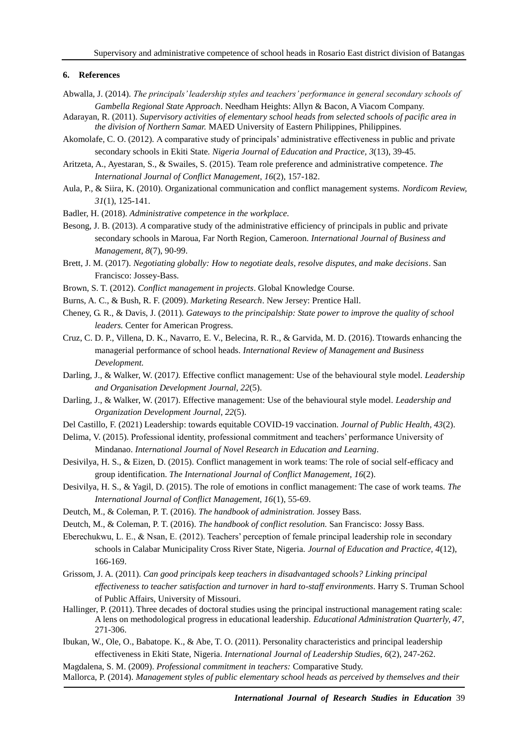# **6. References**

- Abwalla, J. (2014). *The principals' leadership styles and teachers' performance in general secondary schools of Gambella Regional State Approach*. Needham Heights: Allyn & Bacon, A Viacom Company.
- Adarayan, R. (2011). *Supervisory activities of elementary school heads from selected schools of pacific area in the division of Northern Samar.* MAED University of Eastern Philippines, Philippines.
- Akomolafe, C. O. (2012). A comparative study of principals' administrative effectiveness in public and private secondary schools in Ekiti State*. Nigeria Journal of Education and Practice, 3*(13), 39-45.
- Aritzeta, A., Ayestaran, S., & Swailes, S. (2015). Team role preference and administrative competence. *The International Journal of Conflict Management*, *16*(2), 157-182.
- Aula, P., & Siira, K. (2010). Organizational communication and conflict management systems. *Nordicom Review, 31*(1), 125-141.
- Badler, H. (2018). *Administrative competence in the workplace.*
- Besong, J. B. (2013). *A* comparative study of the administrative efficiency of principals in public and private secondary schools in Maroua, Far North Region, Cameroon. *International Journal of Business and Management, 8*(7), 90-99.
- Brett, J. M. (2017). *Negotiating globally: How to negotiate deals, resolve disputes, and make decisions*. San Francisco: Jossey-Bass.
- Brown, S. T. (2012). *Conflict management in projects*. Global Knowledge Course.
- Burns, A. C., & Bush, R. F. (2009). *Marketing Research*. New Jersey: Prentice Hall.
- Cheney, G. R., & Davis, J. (2011)*. Gateways to the principalship: State power to improve the quality of school leaders.* Center for American Progress.
- Cruz, C. D. P., Villena, D. K., Navarro, E. V., Belecina, R. R., & Garvida, M. D. (2016). Ttowards enhancing the managerial performance of school heads. *International Review of Management and Business Development.*
- Darling, J., & Walker, W. (2017*).* Effective conflict management: Use of the behavioural style model. *Leadership and Organisation Development Journal*, *22*(5).
- Darling, J., & Walker, W. (2017). Effective management: Use of the behavioural style model*. Leadership and Organization Development Journal*, *22*(5).
- Del Castillo, F. (2021) Leadership: towards equitable COVID-19 vaccination. *Journal of Public Health, 43*(2).
- Delima, V. (2015). Professional identity, professional commitment and teachers' performance University of Mindanao. *International Journal of Novel Research in Education and Learning.*
- Desivilya, H. S., & Eizen, D. (2015). Conflict management in work teams: The role of social self-efficacy and group identification. *The International Journal of Conflict Management, 16*(2).
- Desivilya, H. S., & Yagil, D. (2015). The role of emotions in conflict management: The case of work teams. *The International Journal of Conflict Management, 16*(1), 55-69.
- Deutch, M., & Coleman, P. T. (2016). *The handbook of administration.* Jossey Bass.
- Deutch, M., & Coleman, P. T. (2016). *The handbook of conflict resolution.* San Francisco: Jossy Bass.

Eberechukwu, L. E., & Nsan, E. (2012). Teachers' perception of female principal leadership role in secondary schools in Calabar Municipality Cross River State, Nigeria*. Journal of Education and Practice, 4*(12), 166-169.

Grissom, J. A. (2011). *Can good principals keep teachers in disadvantaged schools? Linking principal effectiveness to teacher satisfaction and turnover in hard to-staff environments*. Harry S. Truman School of Public Affairs, University of Missouri.

- Hallinger, P. (2011). Three decades of doctoral studies using the principal instructional management rating scale: A lens on methodological progress in educational leadership. *Educational Administration Quarterly, 47*, 271-306.
- Ibukan, W., Ole, O., Babatope. K., & Abe, T. O. (2011). Personality characteristics and principal leadership effectiveness in Ekiti State, Nigeria. *International Journal of Leadership Studies, 6*(2), 247-262.

Magdalena, S. M. (2009). *Professional commitment in teachers:* Comparative Study. Mallorca, P. (2014). *Management styles of public elementary school heads as perceived by themselves and their*